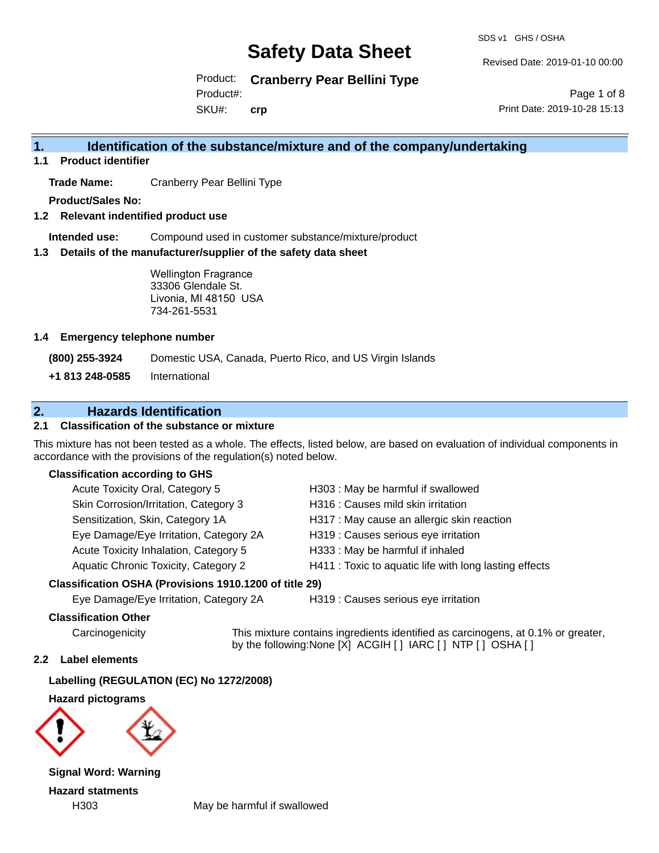SDS v1 GHS / OSHA

Revised Date: 2019-01-10 00:00

Product: **Cranberry Pear Bellini Type** Product#:

SKU#: **crp**

Page 1 of 8 Print Date: 2019-10-28 15:13

## **1. Identification of the substance/mixture and of the company/undertaking**

**1.1 Product identifier**

**Trade Name:** Cranberry Pear Bellini Type

**Product/Sales No:**

**1.2 Relevant indentified product use**

**Intended use:** Compound used in customer substance/mixture/product

**1.3 Details of the manufacturer/supplier of the safety data sheet**

Wellington Fragrance 33306 Glendale St. Livonia, MI 48150 USA 734-261-5531

### **1.4 Emergency telephone number**

**(800) 255-3924** Domestic USA, Canada, Puerto Rico, and US Virgin Islands

**+1 813 248-0585** International

## **2. Hazards Identification**

## **2.1 Classification of the substance or mixture**

This mixture has not been tested as a whole. The effects, listed below, are based on evaluation of individual components in accordance with the provisions of the regulation(s) noted below.

### **Classification according to GHS**

| Acute Toxicity Oral, Category 5        | H303 : May be harmful if swallowed                     |
|----------------------------------------|--------------------------------------------------------|
| Skin Corrosion/Irritation, Category 3  | H316 : Causes mild skin irritation                     |
| Sensitization, Skin, Category 1A       | H317 : May cause an allergic skin reaction             |
| Eye Damage/Eye Irritation, Category 2A | H319 : Causes serious eye irritation                   |
| Acute Toxicity Inhalation, Category 5  | H333: May be harmful if inhaled                        |
| Aquatic Chronic Toxicity, Category 2   | H411 : Toxic to aquatic life with long lasting effects |

## **Classification OSHA (Provisions 1910.1200 of title 29)**

Eye Damage/Eye Irritation, Category 2A H319 : Causes serious eye irritation

### **Classification Other**

Carcinogenicity This mixture contains ingredients identified as carcinogens, at 0.1% or greater, by the following:None [X] ACGIH [ ] IARC [ ] NTP [ ] OSHA [ ]

### **2.2 Label elements**

**Labelling (REGULATION (EC) No 1272/2008)**

**Hazard pictograms**



**Signal Word: Warning Hazard statments**

H303 May be harmful if swallowed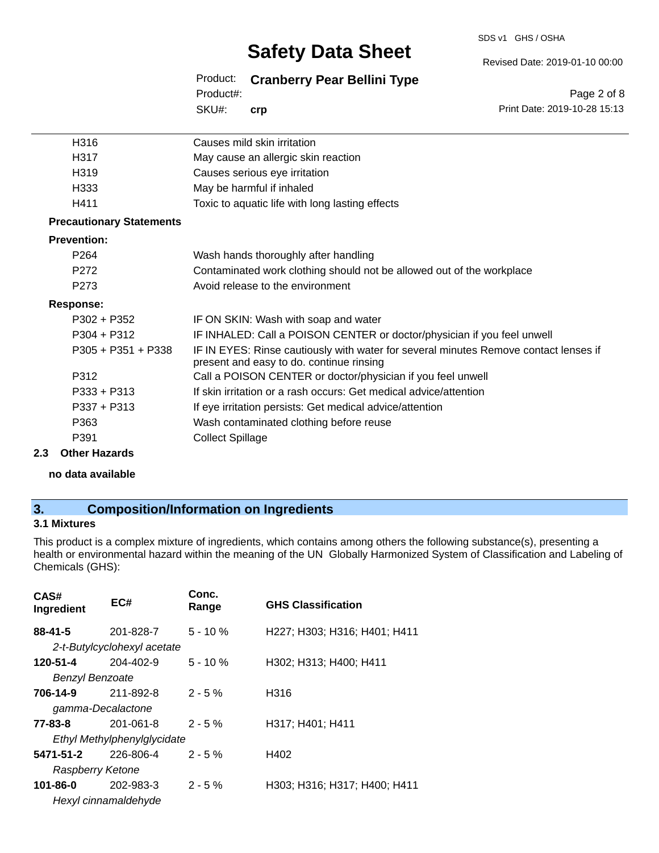#### SDS v1 GHS / OSHA

## **Safety Data Sheet**

Product: **Cranberry Pear Bellini Type**

SKU#: Product#: **crp**

| H316                            | Causes mild skin irritation                                                                                                      |
|---------------------------------|----------------------------------------------------------------------------------------------------------------------------------|
| H317                            | May cause an allergic skin reaction                                                                                              |
| H319                            | Causes serious eye irritation                                                                                                    |
| H333                            | May be harmful if inhaled                                                                                                        |
| H411                            | Toxic to aquatic life with long lasting effects                                                                                  |
| <b>Precautionary Statements</b> |                                                                                                                                  |
| <b>Prevention:</b>              |                                                                                                                                  |
| P <sub>264</sub>                | Wash hands thoroughly after handling                                                                                             |
| P <sub>272</sub>                | Contaminated work clothing should not be allowed out of the workplace                                                            |
| P <sub>273</sub>                | Avoid release to the environment                                                                                                 |
| <b>Response:</b>                |                                                                                                                                  |
| $P302 + P352$                   | IF ON SKIN: Wash with soap and water                                                                                             |
| $P304 + P312$                   | IF INHALED: Call a POISON CENTER or doctor/physician if you feel unwell                                                          |
| $P305 + P351 + P338$            | IF IN EYES: Rinse cautiously with water for several minutes Remove contact lenses if<br>present and easy to do. continue rinsing |
| P312                            | Call a POISON CENTER or doctor/physician if you feel unwell                                                                      |
| $P333 + P313$                   | If skin irritation or a rash occurs: Get medical advice/attention                                                                |
| $P337 + P313$                   | If eye irritation persists: Get medical advice/attention                                                                         |
| P363                            | Wash contaminated clothing before reuse                                                                                          |
| P391                            | <b>Collect Spillage</b>                                                                                                          |
|                                 |                                                                                                                                  |

#### **2.3 Other Hazards**

**no data available**

## **3. Composition/Information on Ingredients**

## **3.1 Mixtures**

This product is a complex mixture of ingredients, which contains among others the following substance(s), presenting a health or environmental hazard within the meaning of the UN Globally Harmonized System of Classification and Labeling of Chemicals (GHS):

| CAS#<br>Ingredient          | EC#                         | Conc.<br>Range | <b>GHS Classification</b>    |
|-----------------------------|-----------------------------|----------------|------------------------------|
| $88 - 41 - 5$               | 201-828-7                   | $5 - 10 \%$    | H227; H303; H316; H401; H411 |
|                             | 2-t-Butylcyclohexyl acetate |                |                              |
| 120-51-4                    | 204-402-9                   | $5 - 10%$      | H302; H313; H400; H411       |
| <b>Benzyl Benzoate</b>      |                             |                |                              |
| 706-14-9                    | 211-892-8                   | $2 - 5%$       | H316                         |
| gamma-Decalactone           |                             |                |                              |
| 77-83-8                     | 201-061-8                   | $2 - 5%$       | H317; H401; H411             |
| Ethyl Methylphenylglycidate |                             |                |                              |
| 5471-51-2                   | 226-806-4                   | $2 - 5%$       | H402                         |
| Raspberry Ketone            |                             |                |                              |
| 101-86-0                    | 202-983-3                   | $2 - 5%$       | H303; H316; H317; H400; H411 |
|                             | Hexyl cinnamaldehyde        |                |                              |

Revised Date: 2019-01-10 00:00

Page 2 of 8 Print Date: 2019-10-28 15:13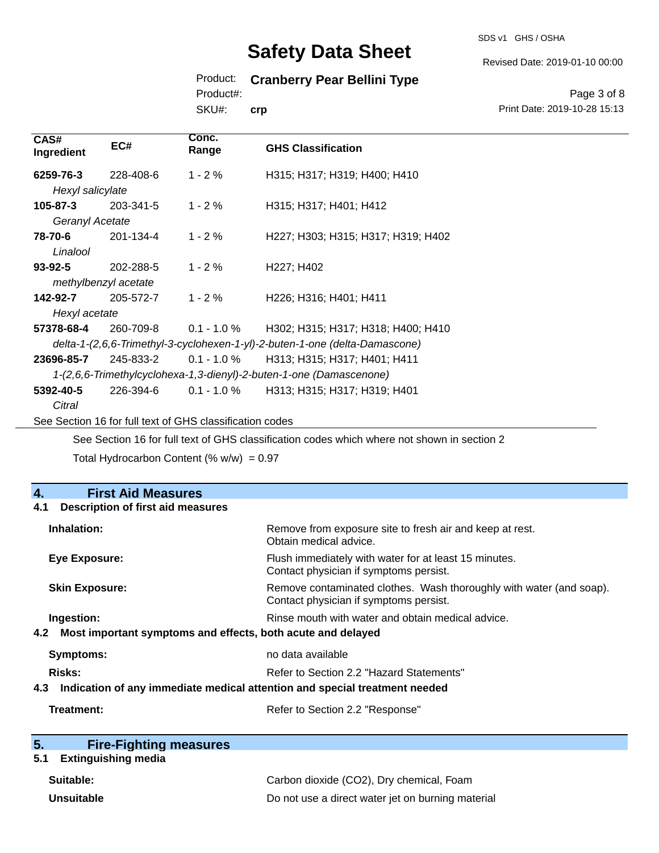#### SDS v1 GHS / OSHA

# **Safety Data Sheet**

## Product: **Cranberry Pear Bellini Type**

Product#:

SKU#: **crp**

Page 3 of 8 Print Date: 2019-10-28 15:13

Revised Date: 2019-01-10 00:00

| CAS#<br>Ingredient                                                          | EC#                  | Conc.<br>Range                                           | <b>GHS Classification</b>                                                                   |
|-----------------------------------------------------------------------------|----------------------|----------------------------------------------------------|---------------------------------------------------------------------------------------------|
| 6259-76-3                                                                   | 228-408-6            | $1 - 2%$                                                 | H315; H317; H319; H400; H410                                                                |
| Hexyl salicylate                                                            |                      |                                                          |                                                                                             |
| $105 - 87 - 3$                                                              | 203-341-5            | $1 - 2 \%$                                               | H315; H317; H401; H412                                                                      |
| Geranyl Acetate                                                             |                      |                                                          |                                                                                             |
| 78-70-6                                                                     | 201-134-4            | $1 - 2 \%$                                               | H227; H303; H315; H317; H319; H402                                                          |
| Linalool                                                                    |                      |                                                          |                                                                                             |
| $93 - 92 - 5$                                                               | 202-288-5            | $1 - 2%$                                                 | H <sub>227</sub> ; H <sub>402</sub>                                                         |
|                                                                             | methylbenzyl acetate |                                                          |                                                                                             |
| 142-92-7                                                                    | 205-572-7            | $1 - 2%$                                                 | H226; H316; H401; H411                                                                      |
| Hexyl acetate                                                               |                      |                                                          |                                                                                             |
| 57378-68-4                                                                  | 260-709-8            | $0.1 - 1.0 \%$                                           | H302; H315; H317; H318; H400; H410                                                          |
| delta-1-(2,6,6-Trimethyl-3-cyclohexen-1-yl)-2-buten-1-one (delta-Damascone) |                      |                                                          |                                                                                             |
| 23696-85-7                                                                  | 245-833-2            | $0.1 - 1.0 \%$                                           | H313; H315; H317; H401; H411                                                                |
|                                                                             |                      |                                                          | 1-(2,6,6-Trimethylcyclohexa-1,3-dienyl)-2-buten-1-one (Damascenone)                         |
| 5392-40-5                                                                   | 226-394-6            | $0.1 - 1.0 \%$                                           | H313; H315; H317; H319; H401                                                                |
| Citral                                                                      |                      |                                                          |                                                                                             |
|                                                                             |                      | See Section 16 for full text of GHS classification codes |                                                                                             |
|                                                                             |                      |                                                          | See Section 16 for full text of GHS classification codes which where not shown in section 2 |

Total Hydrocarbon Content (%  $w/w$ ) = 0.97

## **4. First Aid Measures**

| Description of first aid measures<br>4.1                                          |                                                                                                               |  |
|-----------------------------------------------------------------------------------|---------------------------------------------------------------------------------------------------------------|--|
| Inhalation:                                                                       | Remove from exposure site to fresh air and keep at rest.<br>Obtain medical advice.                            |  |
| Eye Exposure:                                                                     | Flush immediately with water for at least 15 minutes.<br>Contact physician if symptoms persist.               |  |
| <b>Skin Exposure:</b>                                                             | Remove contaminated clothes. Wash thoroughly with water (and soap).<br>Contact physician if symptoms persist. |  |
| Ingestion:                                                                        | Rinse mouth with water and obtain medical advice.                                                             |  |
| Most important symptoms and effects, both acute and delayed<br>4.2                |                                                                                                               |  |
| <b>Symptoms:</b>                                                                  | no data available                                                                                             |  |
| Risks:                                                                            | Refer to Section 2.2 "Hazard Statements"                                                                      |  |
| Indication of any immediate medical attention and special treatment needed<br>4.3 |                                                                                                               |  |
| Treatment:                                                                        | Refer to Section 2.2 "Response"                                                                               |  |

| 5. | <b>Fire-Fighting measures</b> |
|----|-------------------------------|
|    |                               |

## **5.1 Extinguishing media**

| Suitable:  | Carbon dioxide (CO2), Dry chemical, Foam          |
|------------|---------------------------------------------------|
| Unsuitable | Do not use a direct water jet on burning material |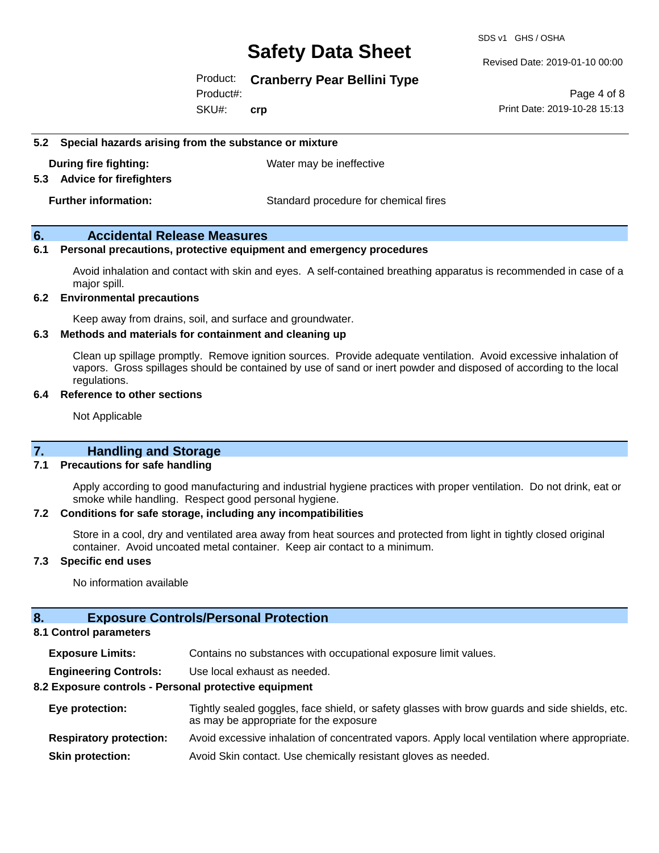SDS v1 GHS / OSHA

#### Revised Date: 2019-01-10 00:00

## Product: **Cranberry Pear Bellini Type**

SKU#: Product#: **crp**

Page 4 of 8 Print Date: 2019-10-28 15:13

#### **5.2 Special hazards arising from the substance or mixture**

**During fire fighting:** Water may be ineffective

#### **5.3 Advice for firefighters**

**Further information:** Standard procedure for chemical fires

## **6. Accidental Release Measures**

### **6.1 Personal precautions, protective equipment and emergency procedures**

Avoid inhalation and contact with skin and eyes. A self-contained breathing apparatus is recommended in case of a major spill.

### **6.2 Environmental precautions**

Keep away from drains, soil, and surface and groundwater.

### **6.3 Methods and materials for containment and cleaning up**

Clean up spillage promptly. Remove ignition sources. Provide adequate ventilation. Avoid excessive inhalation of vapors. Gross spillages should be contained by use of sand or inert powder and disposed of according to the local regulations.

#### **6.4 Reference to other sections**

Not Applicable

## **7. Handling and Storage**

#### **7.1 Precautions for safe handling**

Apply according to good manufacturing and industrial hygiene practices with proper ventilation. Do not drink, eat or smoke while handling. Respect good personal hygiene.

#### **7.2 Conditions for safe storage, including any incompatibilities**

Store in a cool, dry and ventilated area away from heat sources and protected from light in tightly closed original container. Avoid uncoated metal container. Keep air contact to a minimum.

#### **7.3 Specific end uses**

No information available

### **8. Exposure Controls/Personal Protection**

#### **8.1 Control parameters**

**Exposure Limits:** Contains no substances with occupational exposure limit values.

**Engineering Controls:** Use local exhaust as needed.

#### **8.2 Exposure controls - Personal protective equipment**

| Eye protection:                | Tightly sealed goggles, face shield, or safety glasses with brow guards and side shields, etc.<br>as may be appropriate for the exposure |
|--------------------------------|------------------------------------------------------------------------------------------------------------------------------------------|
| <b>Respiratory protection:</b> | Avoid excessive inhalation of concentrated vapors. Apply local ventilation where appropriate.                                            |
| <b>Skin protection:</b>        | Avoid Skin contact. Use chemically resistant gloves as needed.                                                                           |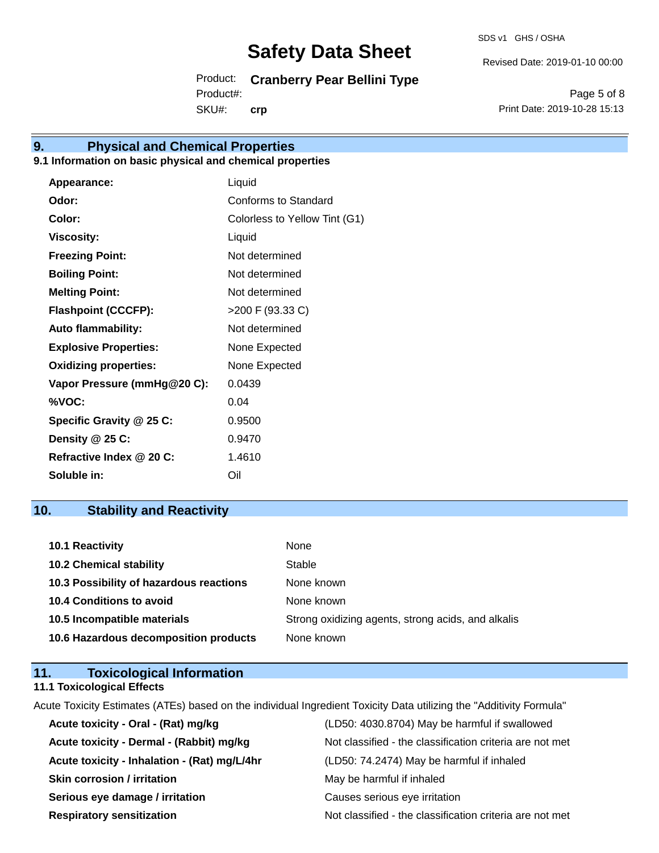SDS v1 GHS / OSHA

Revised Date: 2019-01-10 00:00

Product: **Cranberry Pear Bellini Type** SKU#: Product#: **crp**

Page 5 of 8 Print Date: 2019-10-28 15:13

## **9. Physical and Chemical Properties**

## **9.1 Information on basic physical and chemical properties**

| Appearance:                  | Liquid                        |
|------------------------------|-------------------------------|
| Odor:                        | Conforms to Standard          |
| Color:                       | Colorless to Yellow Tint (G1) |
| <b>Viscosity:</b>            | Liquid                        |
| <b>Freezing Point:</b>       | Not determined                |
| <b>Boiling Point:</b>        | Not determined                |
| <b>Melting Point:</b>        | Not determined                |
| <b>Flashpoint (CCCFP):</b>   | >200 F (93.33 C)              |
| <b>Auto flammability:</b>    | Not determined                |
| <b>Explosive Properties:</b> | None Expected                 |
| <b>Oxidizing properties:</b> | None Expected                 |
| Vapor Pressure (mmHg@20 C):  | 0.0439                        |
| %VOC:                        | 0.04                          |
| Specific Gravity @ 25 C:     | 0.9500                        |
| Density @ 25 C:              | 0.9470                        |
| Refractive Index @ 20 C:     | 1.4610                        |
| Soluble in:                  | Oil                           |

## **10. Stability and Reactivity**

| <b>10.1 Reactivity</b>                  | None                                               |
|-----------------------------------------|----------------------------------------------------|
| <b>10.2 Chemical stability</b>          | Stable                                             |
| 10.3 Possibility of hazardous reactions | None known                                         |
| <b>10.4 Conditions to avoid</b>         | None known                                         |
| 10.5 Incompatible materials             | Strong oxidizing agents, strong acids, and alkalis |
| 10.6 Hazardous decomposition products   | None known                                         |

## **11. Toxicological Information**

## **11.1 Toxicological Effects**

Acute Toxicity Estimates (ATEs) based on the individual Ingredient Toxicity Data utilizing the "Additivity Formula"

| Acute toxicity - Oral - (Rat) mg/kg          | (LD50: 4030.8704) May be harmful if swallowed            |
|----------------------------------------------|----------------------------------------------------------|
| Acute toxicity - Dermal - (Rabbit) mg/kg     | Not classified - the classification criteria are not met |
| Acute toxicity - Inhalation - (Rat) mg/L/4hr | (LD50: 74.2474) May be harmful if inhaled                |
| <b>Skin corrosion / irritation</b>           | May be harmful if inhaled                                |
| Serious eye damage / irritation              | Causes serious eye irritation                            |
| <b>Respiratory sensitization</b>             | Not classified - the classification criteria are not met |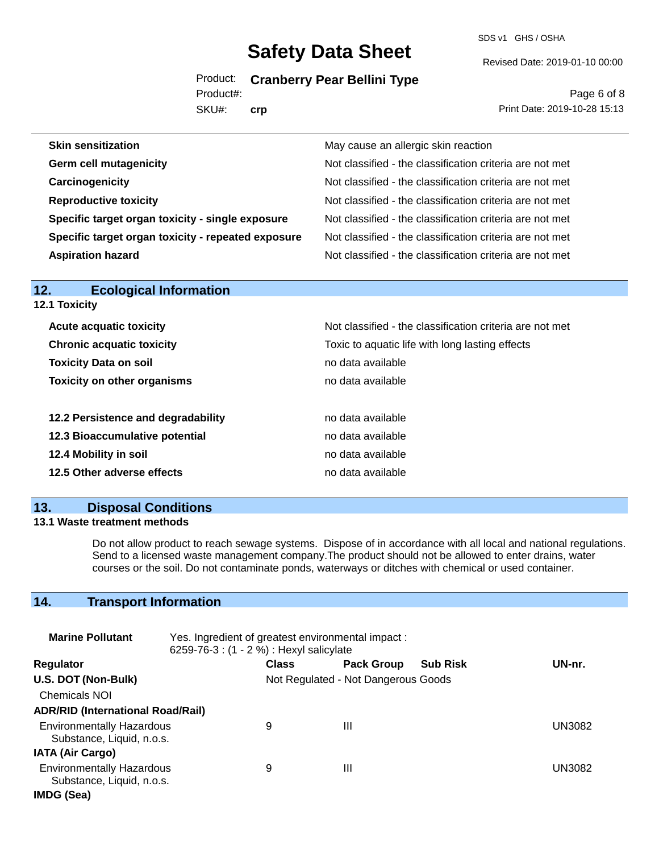Product: **Cranberry Pear Bellini Type**

SKU#: Product#: **crp**

# Revised Date: 2019-01-10 00:00

SDS v1 GHS / OSHA

Page 6 of 8 Print Date: 2019-10-28 15:13

| <b>Skin sensitization</b>                          | May cause an allergic skin reaction                      |
|----------------------------------------------------|----------------------------------------------------------|
| <b>Germ cell mutagenicity</b>                      | Not classified - the classification criteria are not met |
| Carcinogenicity                                    | Not classified - the classification criteria are not met |
| <b>Reproductive toxicity</b>                       | Not classified - the classification criteria are not met |
| Specific target organ toxicity - single exposure   | Not classified - the classification criteria are not met |
| Specific target organ toxicity - repeated exposure | Not classified - the classification criteria are not met |
| <b>Aspiration hazard</b>                           | Not classified - the classification criteria are not met |

| 12.<br><b>Ecological Information</b> |                                                          |
|--------------------------------------|----------------------------------------------------------|
| 12.1 Toxicity                        |                                                          |
| <b>Acute acquatic toxicity</b>       | Not classified - the classification criteria are not met |
| <b>Chronic acquatic toxicity</b>     | Toxic to aquatic life with long lasting effects          |
| <b>Toxicity Data on soil</b>         | no data available                                        |
| <b>Toxicity on other organisms</b>   | no data available                                        |
| 12.2 Persistence and degradability   | no data available                                        |
| 12.3 Bioaccumulative potential       | no data available                                        |
| 12.4 Mobility in soil                | no data available                                        |
| 12.5 Other adverse effects           | no data available                                        |
|                                      |                                                          |

## **13. Disposal Conditions**

## **13.1 Waste treatment methods**

Do not allow product to reach sewage systems. Dispose of in accordance with all local and national regulations. Send to a licensed waste management company.The product should not be allowed to enter drains, water courses or the soil. Do not contaminate ponds, waterways or ditches with chemical or used container.

## **14. Transport Information**

| <b>Marine Pollutant</b>                                       | Yes. Ingredient of greatest environmental impact:<br>6259-76-3 : (1 - 2 %) : Hexyl salicylate |              |                                     |                 |        |
|---------------------------------------------------------------|-----------------------------------------------------------------------------------------------|--------------|-------------------------------------|-----------------|--------|
| <b>Regulator</b>                                              |                                                                                               | <b>Class</b> | <b>Pack Group</b>                   | <b>Sub Risk</b> | UN-nr. |
| U.S. DOT (Non-Bulk)                                           |                                                                                               |              | Not Regulated - Not Dangerous Goods |                 |        |
| <b>Chemicals NOI</b>                                          |                                                                                               |              |                                     |                 |        |
| <b>ADR/RID (International Road/Rail)</b>                      |                                                                                               |              |                                     |                 |        |
| <b>Environmentally Hazardous</b><br>Substance, Liquid, n.o.s. |                                                                                               | 9            | Ш                                   |                 | UN3082 |
| <b>IATA (Air Cargo)</b>                                       |                                                                                               |              |                                     |                 |        |
| <b>Environmentally Hazardous</b><br>Substance, Liquid, n.o.s. |                                                                                               | 9            | Ш                                   |                 | UN3082 |
| IMDG (Sea)                                                    |                                                                                               |              |                                     |                 |        |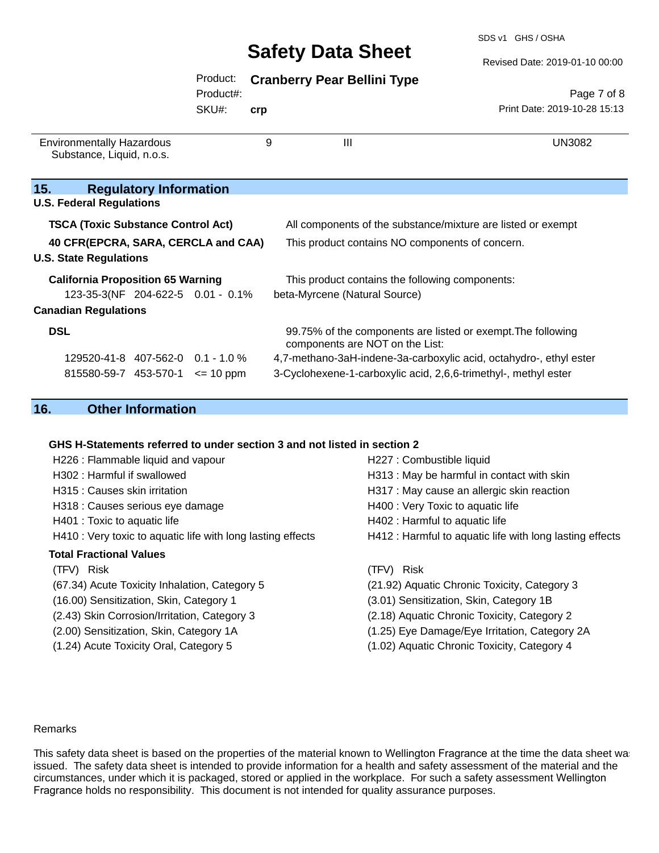#### Revised Date: 2019-01-10 00:00

|  | Product: Cranberry Pear Bellini Type |  |  |  |
|--|--------------------------------------|--|--|--|
|--|--------------------------------------|--|--|--|

Product#:

SKU#: **crp**

Page 7 of 8 Print Date: 2019-10-28 15:13

| <b>Environmentally Hazardous</b><br>Substance, Liquid, n.o.s. | 9             | Ш                                                                                               | UN3082 |
|---------------------------------------------------------------|---------------|-------------------------------------------------------------------------------------------------|--------|
| <b>Regulatory Information</b><br>15.                          |               |                                                                                                 |        |
| <b>U.S. Federal Regulations</b>                               |               |                                                                                                 |        |
| <b>TSCA (Toxic Substance Control Act)</b>                     |               | All components of the substance/mixture are listed or exempt                                    |        |
| 40 CFR(EPCRA, SARA, CERCLA and CAA)                           |               | This product contains NO components of concern.                                                 |        |
| <b>U.S. State Regulations</b>                                 |               |                                                                                                 |        |
| <b>California Proposition 65 Warning</b>                      |               | This product contains the following components:                                                 |        |
| 123-35-3(NF 204-622-5 0.01 - 0.1%                             |               | beta-Myrcene (Natural Source)                                                                   |        |
| <b>Canadian Regulations</b>                                   |               |                                                                                                 |        |
| <b>DSL</b>                                                    |               | 99.75% of the components are listed or exempt. The following<br>components are NOT on the List: |        |
| 129520-41-8 407-562-0 0.1 - 1.0 %                             |               | 4,7-methano-3aH-indene-3a-carboxylic acid, octahydro-, ethyl ester                              |        |
| 815580-59-7 453-570-1                                         | $\leq$ 10 ppm | 3-Cyclohexene-1-carboxylic acid, 2,6,6-trimethyl-, methyl ester                                 |        |

## **16. Other Information**

## **GHS H-Statements referred to under section 3 and not listed in section 2**

| H226 : Flammable liquid and vapour                          | H227 : Combustible liquid                                |
|-------------------------------------------------------------|----------------------------------------------------------|
| H302 : Harmful if swallowed                                 | H313 : May be harmful in contact with skin               |
| H315 : Causes skin irritation                               | H317 : May cause an allergic skin reaction               |
| H318 : Causes serious eye damage                            | H400 : Very Toxic to aquatic life                        |
| H401 : Toxic to aquatic life                                | H402 : Harmful to aquatic life                           |
| H410 : Very toxic to aquatic life with long lasting effects | H412 : Harmful to aquatic life with long lasting effects |
| <b>Total Fractional Values</b>                              |                                                          |
| (TFV) Risk                                                  | Risk<br>(TFV)                                            |
| (67.34) Acute Toxicity Inhalation, Category 5               | (21.92) Aquatic Chronic Toxicity, Category 3             |
| (16.00) Sensitization, Skin, Category 1                     | (3.01) Sensitization, Skin, Category 1B                  |
| (2.43) Skin Corrosion/Irritation, Category 3                | (2.18) Aquatic Chronic Toxicity, Category 2              |
| (2.00) Sensitization, Skin, Category 1A                     | (1.25) Eye Damage/Eye Irritation, Category 2A            |
| (1.24) Acute Toxicity Oral, Category 5                      | (1.02) Aquatic Chronic Toxicity, Category 4              |

### Remarks

This safety data sheet is based on the properties of the material known to Wellington Fragrance at the time the data sheet was issued. The safety data sheet is intended to provide information for a health and safety assessment of the material and the circumstances, under which it is packaged, stored or applied in the workplace. For such a safety assessment Wellington Fragrance holds no responsibility. This document is not intended for quality assurance purposes.